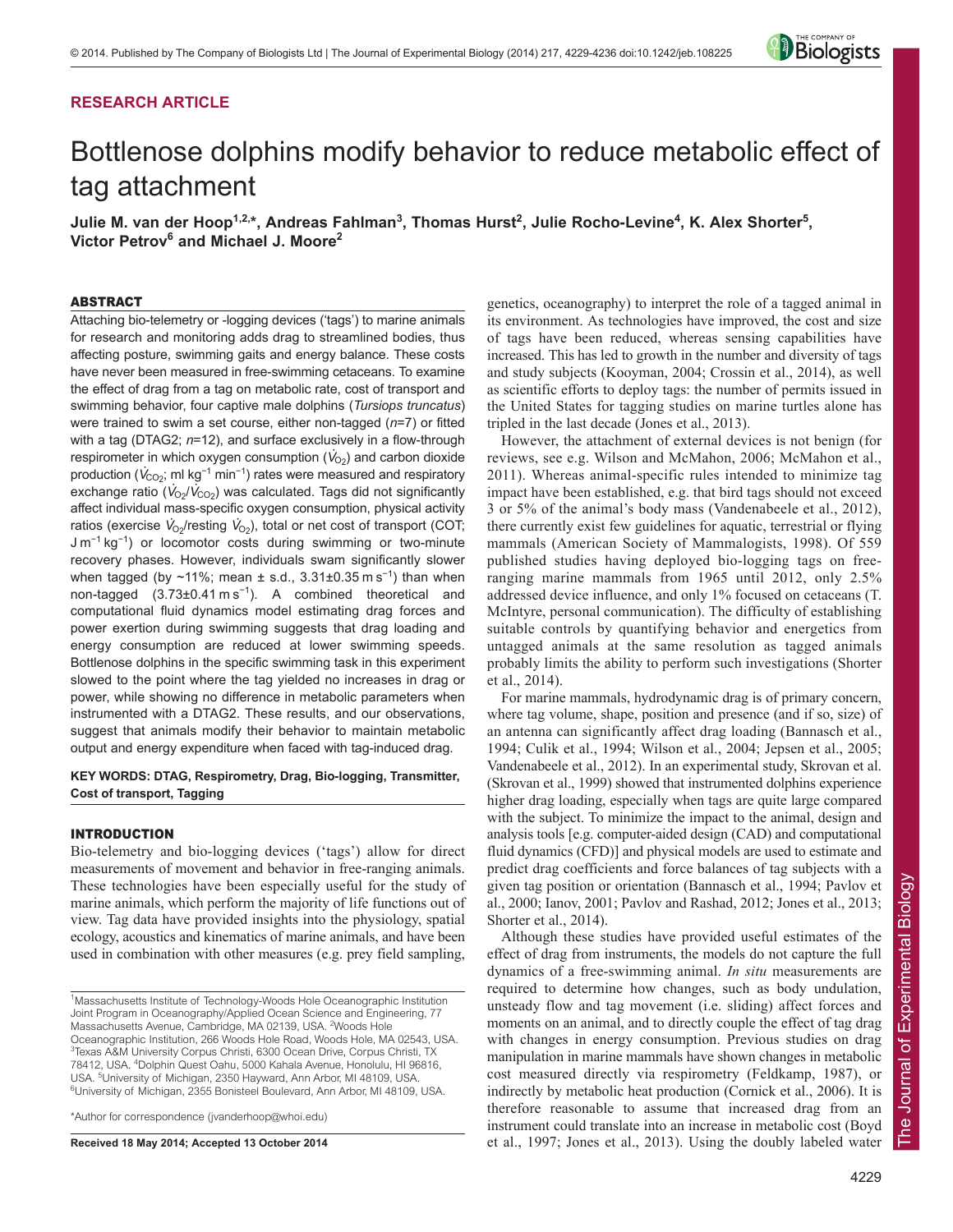# **RESEARCH ARTICLE**



# Bottlenose dolphins modify behavior to reduce metabolic effect of tag attachment

Julie M. van der Hoop<sup>1,2,</sup>\*, Andreas Fahlman<sup>3</sup>, Thomas Hurst<sup>2</sup>, Julie Rocho-Levine<sup>4</sup>, K. Alex Shorter<sup>5</sup>, **Victor Petrov<sup>6</sup> and Michael J. Moore2**

## ABSTRACT

Attaching bio-telemetry or -logging devices ('tags') to marine animals for research and monitoring adds drag to streamlined bodies, thus affecting posture, swimming gaits and energy balance. These costs have never been measured in free-swimming cetaceans. To examine the effect of drag from a tag on metabolic rate, cost of transport and swimming behavior, four captive male dolphins (*Tursiops truncatus*) were trained to swim a set course, either non-tagged (*n*=7) or fitted with a tag (DTAG2; *n*=12), and surface exclusively in a flow-through respirometer in which oxygen consumption  $(V_{O_2})$  and carbon dioxide **Production (***V***<sub>CO2</sub>; ml kg<sup>-1</sup> min<sup>-1</sup>) rates were measured and respiratory**  $\frac{1}{2}$  exchange ratio  $(\dot{V}_{OZ}/\dot{V}_{CO2})$  was calculated. Tags did not significantly affect individual mass-specific oxygen consumption, physical activity ratios (exercise  $V_{O_2}$ /resting  $V_{O_2}$ ), total or net cost of transport (COT; J m<sup>-1</sup> kg<sup>-1</sup>) or locomotor costs during swimming or two-minute recovery phases. However, individuals swam significantly slower when tagged (by ~11%; mean  $\pm$  s.d., 3.31 $\pm$ 0.35 m s<sup>-1</sup>) than when non-tagged (3.73±0.41 m s<sup>-1</sup>). A combined theoretical and computational fluid dynamics model estimating drag forces and power exertion during swimming suggests that drag loading and energy consumption are reduced at lower swimming speeds. Bottlenose dolphins in the specific swimming task in this experiment slowed to the point where the tag yielded no increases in drag or power, while showing no difference in metabolic parameters when instrumented with a DTAG2. These results, and our observations, suggest that animals modify their behavior to maintain metabolic output and energy expenditure when faced with tag-induced drag.

# **KEY WORDS: DTAG, Respirometry, Drag, Bio-logging, Transmitter, Cost of transport, Tagging**

## INTRODUCTION

Bio-telemetry and bio-logging devices ('tags') allow for direct measurements of movement and behavior in free-ranging animals. These technologies have been especially useful for the study of marine animals, which perform the majority of life functions out of view. Tag data have provided insights into the physiology, spatial ecology, acoustics and kinematics of marine animals, and have been used in combination with other measures (e.g. prey field sampling,

\*Author for correspondence (jvanderhoop@whoi.edu)

**Received 18 May 2014; Accepted 13 October 2014**

genetics, oceanography) to interpret the role of a tagged animal in its environment. As technologies have improved, the cost and size of tags have been reduced, whereas sensing capabilities have increased. This has led to growth in the number and diversity of tags and study subjects (Kooyman, 2004; Crossin et al., 2014), as well as scientific efforts to deploy tags: the number of permits issued in the United States for tagging studies on marine turtles alone has tripled in the last decade (Jones et al., 2013).

However, the attachment of external devices is not benign (for reviews, see e.g. Wilson and McMahon, 2006; McMahon et al., 2011). Whereas animal-specific rules intended to minimize tag impact have been established, e.g. that bird tags should not exceed 3 or 5% of the animal's body mass (Vandenabeele et al., 2012), there currently exist few guidelines for aquatic, terrestrial or flying mammals (American Society of Mammalogists, 1998). Of 559 published studies having deployed bio-logging tags on freeranging marine mammals from 1965 until 2012, only 2.5% addressed device influence, and only 1% focused on cetaceans (T. McIntyre, personal communication). The difficulty of establishing suitable controls by quantifying behavior and energetics from untagged animals at the same resolution as tagged animals probably limits the ability to perform such investigations (Shorter et al., 2014).

For marine mammals, hydrodynamic drag is of primary concern, where tag volume, shape, position and presence (and if so, size) of an antenna can significantly affect drag loading (Bannasch et al., 1994; Culik et al., 1994; Wilson et al., 2004; Jepsen et al., 2005; Vandenabeele et al., 2012). In an experimental study, Skrovan et al. (Skrovan et al., 1999) showed that instrumented dolphins experience higher drag loading, especially when tags are quite large compared with the subject. To minimize the impact to the animal, design and analysis tools [e.g. computer-aided design (CAD) and computational fluid dynamics (CFD)] and physical models are used to estimate and predict drag coefficients and force balances of tag subjects with a given tag position or orientation (Bannasch et al., 1994; Pavlov et al., 2000; Ianov, 2001; Pavlov and Rashad, 2012; Jones et al., 2013; Shorter et al., 2014).

Although these studies have provided useful estimates of the effect of drag from instruments, the models do not capture the full dynamics of a free-swimming animal. *In situ* measurements are required to determine how changes, such as body undulation, unsteady flow and tag movement (i.e. sliding) affect forces and moments on an animal, and to directly couple the effect of tag drag with changes in energy consumption. Previous studies on drag manipulation in marine mammals have shown changes in metabolic cost measured directly via respirometry (Feldkamp, 1987), or indirectly by metabolic heat production (Cornick et al., 2006). It is therefore reasonable to assume that increased drag from an instrument could translate into an increase in metabolic cost (Boyd et al., 1997; Jones et al., 2013). Using the doubly labeled water

<sup>&</sup>lt;sup>1</sup>Massachusetts Institute of Technology-Woods Hole Oceanographic Institution Joint Program in Oceanography/Applied Ocean Science and Engineering, 77 Massachusetts Avenue, Cambridge, MA 02139, USA. <sup>2</sup>Woods Hole Oceanographic Institution, 266 Woods Hole Road, Woods Hole, MA 02543, USA. <sup>3</sup>Texas A&M University Corpus Christi, 6300 Ocean Drive, Corpus Christi, TX 78412, USA. 4 Dolphin Quest Oahu, 5000 Kahala Avenue, Honolulu, HI 96816, USA. <sup>5</sup>University of Michigan, 2350 Hayward, Ann Arbor, MI 48109, USA. <sup>6</sup>University of Michigan, 2355 Bonisteel Boulevard, Ann Arbor, MI 48109, USA.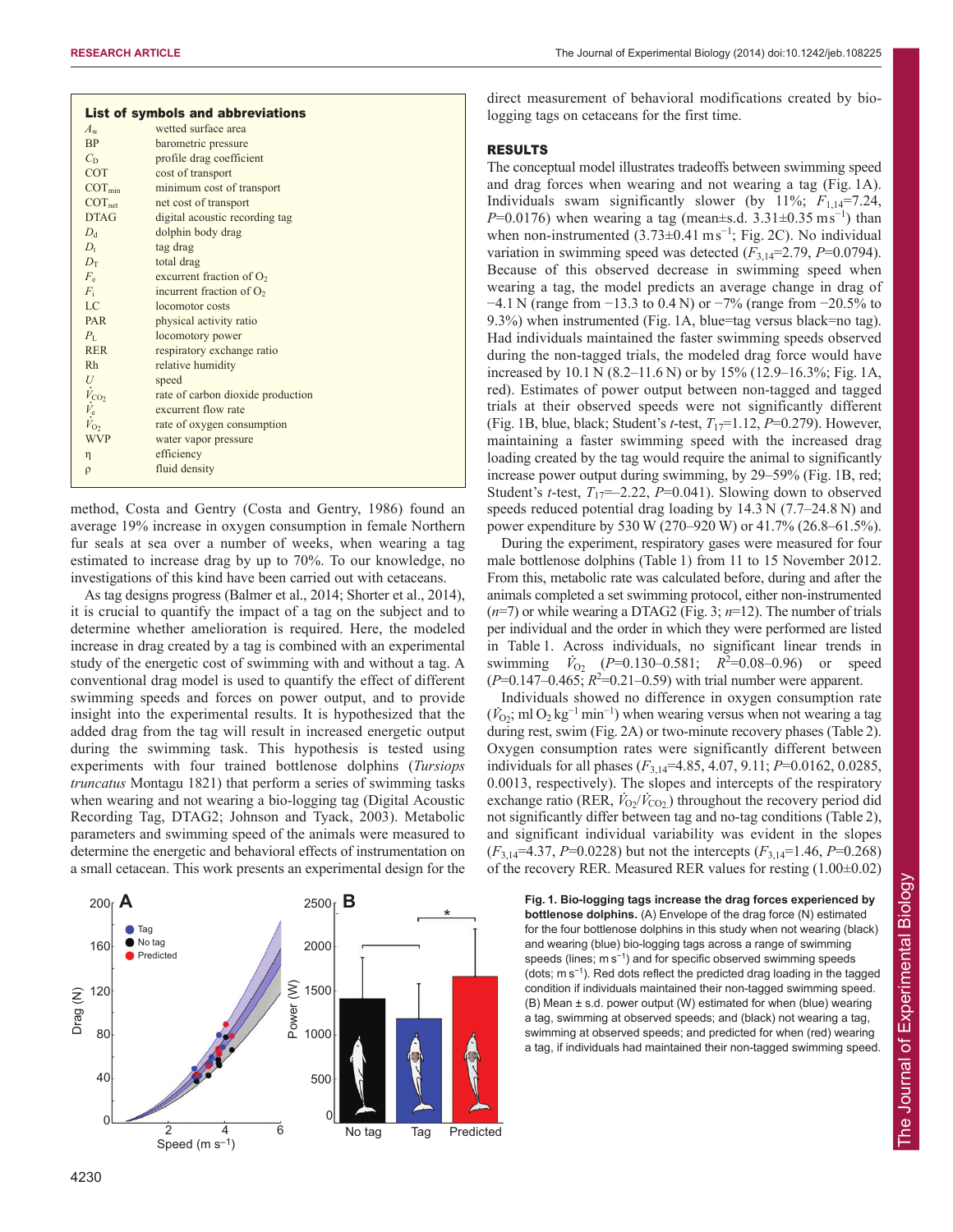|                                                                 | <b>List of symbols and abbreviations</b> |
|-----------------------------------------------------------------|------------------------------------------|
| $A_{\rm w}$                                                     | wetted surface area                      |
| BP                                                              | barometric pressure                      |
| $C_{\rm D}$                                                     | profile drag coefficient                 |
| <b>COT</b>                                                      | cost of transport                        |
| $COT_{min}$                                                     | minimum cost of transport                |
| COT <sub>net</sub>                                              | net cost of transport                    |
| <b>DTAG</b>                                                     | digital acoustic recording tag           |
| $D_{d}$                                                         | dolphin body drag                        |
| $D_{t}$                                                         | tag drag                                 |
| $D_{\rm T}$                                                     | total drag                               |
| $F_e$                                                           | excurrent fraction of $O2$               |
| $F_i$                                                           | incurrent fraction of $O2$               |
| LC                                                              | locomotor costs                          |
| PAR                                                             | physical activity ratio                  |
| $P_{\rm L}$                                                     | locomotory power                         |
| <b>RER</b>                                                      | respiratory exchange ratio               |
| <b>Rh</b>                                                       | relative humidity                        |
|                                                                 | speed                                    |
| $U\\ \dot{V}_{\rm CO_2} \\ \dot{V}_{\rm e}\\ \dot{V}_{\rm O_2}$ | rate of carbon dioxide production        |
|                                                                 | excurrent flow rate                      |
|                                                                 | rate of oxygen consumption               |
| <b>WVP</b>                                                      | water vapor pressure                     |
| η                                                               | efficiency                               |
| $\rho$                                                          | fluid density                            |
|                                                                 |                                          |

method, Costa and Gentry (Costa and Gentry, 1986) found an average 19% increase in oxygen consumption in female Northern fur seals at sea over a number of weeks, when wearing a tag estimated to increase drag by up to 70%. To our knowledge, no investigations of this kind have been carried out with cetaceans.

As tag designs progress (Balmer et al., 2014; Shorter et al., 2014), it is crucial to quantify the impact of a tag on the subject and to determine whether amelioration is required. Here, the modeled increase in drag created by a tag is combined with an experimental study of the energetic cost of swimming with and without a tag. A conventional drag model is used to quantify the effect of different swimming speeds and forces on power output, and to provide insight into the experimental results. It is hypothesized that the added drag from the tag will result in increased energetic output during the swimming task. This hypothesis is tested using experiments with four trained bottlenose dolphins (*Tursiops truncatus* Montagu 1821) that perform a series of swimming tasks when wearing and not wearing a bio-logging tag (Digital Acoustic Recording Tag, DTAG2; Johnson and Tyack, 2003). Metabolic parameters and swimming speed of the animals were measured to determine the energetic and behavioral effects of instrumentation on a small cetacean. This work presents an experimental design for the



direct measurement of behavioral modifications created by biologging tags on cetaceans for the first time.

## RESULTS

The conceptual model illustrates tradeoffs between swimming speed and drag forces when wearing and not wearing a tag (Fig. 1A). Individuals swam significantly slower (by 11%; *F*1,14=7.24, *P*=0.0176) when wearing a tag (mean±s.d.  $3.31 \pm 0.35$  ms<sup>-1</sup>) than when non-instrumented  $(3.73\pm0.41 \text{ m s}^{-1})$ ; Fig. 2C). No individual variation in swimming speed was detected  $(F_{3,14}=2.79, P=0.0794)$ . Because of this observed decrease in swimming speed when wearing a tag, the model predicts an average change in drag of −4.1 N (range from −13.3 to 0.4 N) or −7% (range from −20.5% to 9.3%) when instrumented (Fig. 1A, blue=tag versus black=no tag). Had individuals maintained the faster swimming speeds observed during the non-tagged trials, the modeled drag force would have increased by 10.1 N (8.2–11.6 N) or by 15% (12.9–16.3%; Fig. 1A, red). Estimates of power output between non-tagged and tagged trials at their observed speeds were not significantly different (Fig. 1B, blue, black; Student's *t*-test, *T*17=1.12, *P*=0.279). However, maintaining a faster swimming speed with the increased drag loading created by the tag would require the animal to significantly increase power output during swimming, by 29–59% (Fig. 1B, red; Student's *t*-test,  $T_{17}$ =–2.22, *P*=0.041). Slowing down to observed speeds reduced potential drag loading by 14.3 N (7.7–24.8 N) and power expenditure by 530 W (270–920 W) or 41.7% (26.8–61.5%).

During the experiment, respiratory gases were measured for four male bottlenose dolphins (Table 1) from 11 to 15 November 2012. From this, metabolic rate was calculated before, during and after the animals completed a set swimming protocol, either non-instrumented  $(n=7)$  or while wearing a DTAG2 (Fig. 3;  $n=12$ ). The number of trials per individual and the order in which they were performed are listed in Table 1. Across individuals, no significant linear trends in swimming  $V_{O_2}$  ( $P=0.130-0.581$ ;  $R^2=0.08-0.96$ ) or speed  $(P=0.147-0.465; R^2=0.21-0.59)$  with trial number were apparent.

Individuals showed no difference in oxygen consumption rate  $(V_{O_2}; \text{ml } O_2 \text{ kg}^{-1} \text{min}^{-1})$  when wearing versus when not wearing a tag during rest, swim (Fig. 2A) or two-minute recovery phases (Table 2). Oxygen consumption rates were significantly different between individuals for all phases (*F*3,14=4.85, 4.07, 9.11; *P*=0.0162, 0.0285, 0.0013, respectively). The slopes and intercepts of the respiratory exchange ratio (RER,  $\dot{V}_{02}/\dot{V}_{\text{CO}_2}$ ) throughout the recovery period did not significantly differ between tag and no-tag conditions (Table 2), and significant individual variability was evident in the slopes (*F*3,14=4.37, *P*=0.0228) but not the intercepts (*F*3,14=1.46, *P*=0.268) of the recovery RER. Measured RER values for resting (1.00±0.02)

**Fig. 1. Bio-logging tags increase the drag forces experienced by bottlenose dolphins.** (A) Envelope of the drag force (N) estimated for the four bottlenose dolphins in this study when not wearing (black) and wearing (blue) bio-logging tags across a range of swimming speeds (lines; m s<sup>-1</sup>) and for specific observed swimming speeds (dots; m s<sup>−</sup><sup>1</sup> ). Red dots reflect the predicted drag loading in the tagged condition if individuals maintained their non-tagged swimming speed. (B) Mean ± s.d. power output (W) estimated for when (blue) wearing a tag, swimming at observed speeds; and (black) not wearing a tag, swimming at observed speeds; and predicted for when (red) wearing a tag, if individuals had maintained their non-tagged swimming speed.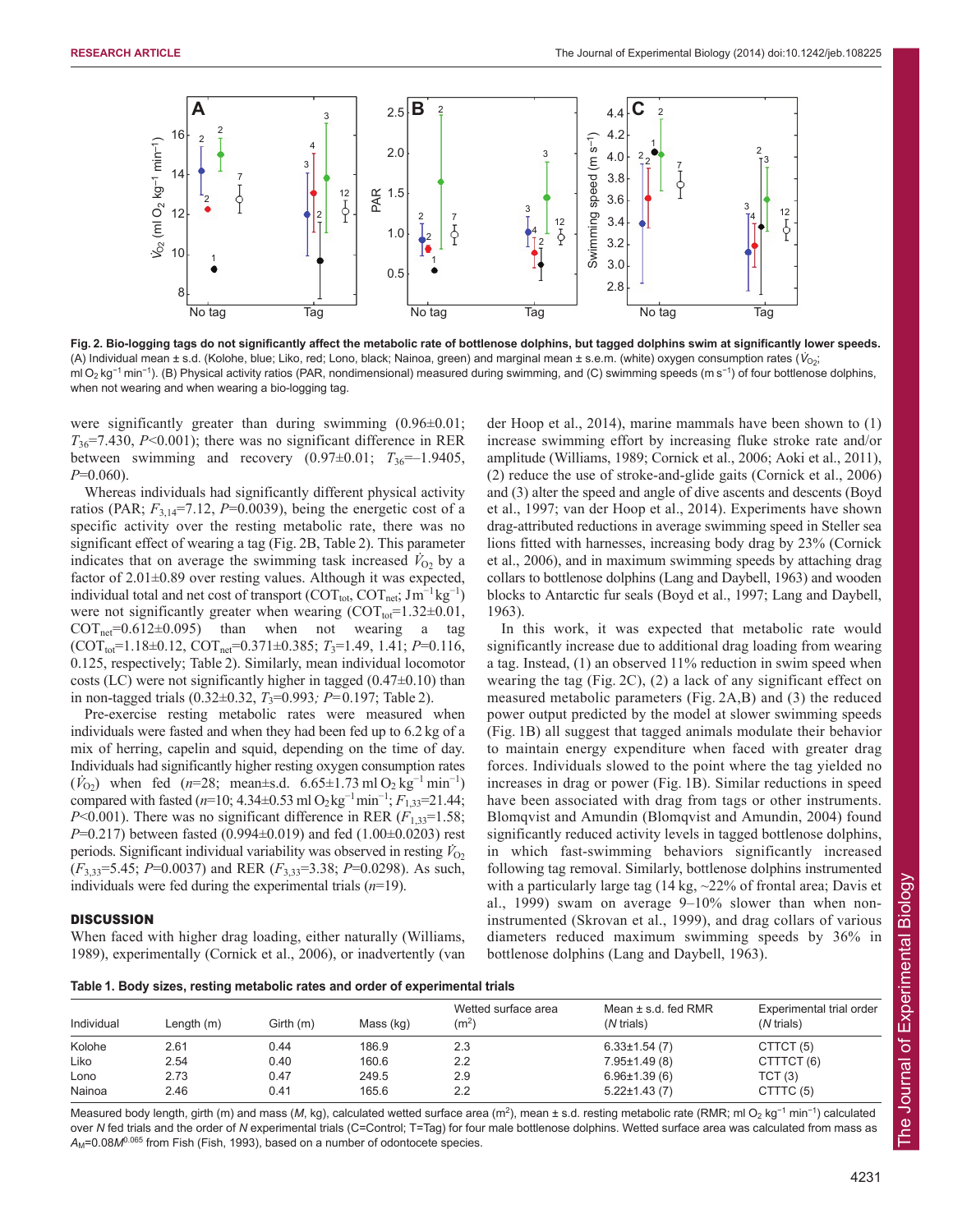

**Fig. 2. Bio-logging tags do not significantly affect the metabolic rate of bottlenose dolphins, but tagged dolphins swim at significantly lower speeds.** (A) Individual mean ± s.d. (Kolohe, blue; Liko, red; Lono, black; Nainoa, green) and marginal mean ± s.e.m. (white) oxygen consumption rates ( $V_{O2}$ ; ml O<sub>2</sub> kg<sup>-1</sup> min<sup>-1</sup>). (B) Physical activity ratios (PAR, nondimensional) measured during swimming, and (C) swimming speeds (m s<sup>-1</sup>) of four bottlenose dolphins, when not wearing and when wearing a bio-logging tag.

were significantly greater than during swimming  $(0.96\pm0.01)$ ;  $T_{36}$ =7.430, *P*<0.001); there was no significant difference in RER between swimming and recovery  $(0.97\pm0.01; T_{36}=-1.9405,$ *P*=0.060).

Whereas individuals had significantly different physical activity ratios (PAR;  $F_{3,14}$ =7.12, P=0.0039), being the energetic cost of a specific activity over the resting metabolic rate, there was no significant effect of wearing a tag (Fig. 2B, Table 2). This parameter indicates that on average the swimming task increased  $V_{O_2}$  by a factor of 2.01 $\pm$ 0.89 over resting values. Although it was expected, individual total and net cost of transport ( $\text{COT}_{\text{tot}}$ ,  $\text{COT}_{\text{net}}$ ; Jm<sup>-1</sup> kg<sup>-1</sup>) were not significantly greater when wearing  $(COT<sub>tot</sub>=1.32±0.01$ ,  $\text{COT}_{\text{net}}=0.612\pm0.095$ ) than when not wearing a tag  $(COT<sub>tot</sub>=1.18±0.12,  $COT<sub>net</sub>=0.371±0.385$ ;  $T<sub>3</sub>=1.49$ , 1.41;  $P=0.116$ ,$ 0.125, respectively; Table 2). Similarly, mean individual locomotor costs (LC) were not significantly higher in tagged  $(0.47\pm0.10)$  than in non-tagged trials  $(0.32 \pm 0.32, T_3 = 0.993; P = 0.197;$  Table 2).

Pre-exercise resting metabolic rates were measured when individuals were fasted and when they had been fed up to 6.2 kg of a mix of herring, capelin and squid, depending on the time of day. Individuals had significantly higher resting oxygen consumption rates  $(V_{02})$  when fed (*n*=28; mean±s.d. 6.65±1.73 ml O<sub>2</sub> kg<sup>-1</sup> min<sup>-1</sup>) compared with fasted ( $n=10$ ; 4.34±0.53 ml O<sub>2</sub>kg<sup>-1</sup>min<sup>-1</sup>;  $F_{1,33}=21.44$ ; *P*<0.001). There was no significant difference in RER  $(F_{1,33}=1.58;$ *P*=0.217) between fasted (0.994±0.019) and fed (1.00±0.0203) rest periods. Significant individual variability was observed in resting  $\ddot{V}_{02}$ (*F*3,33=5.45; *P*=0.0037) and RER (*F*3,33=3.38; *P*=0.0298). As such, individuals were fed during the experimental trials (*n*=19).

## **DISCUSSION**

When faced with higher drag loading, either naturally (Williams, 1989), experimentally (Cornick et al., 2006), or inadvertently (van der Hoop et al., 2014), marine mammals have been shown to (1) increase swimming effort by increasing fluke stroke rate and/or amplitude (Williams, 1989; Cornick et al., 2006; Aoki et al., 2011), (2) reduce the use of stroke-and-glide gaits (Cornick et al., 2006) and (3) alter the speed and angle of dive ascents and descents (Boyd et al., 1997; van der Hoop et al., 2014). Experiments have shown drag-attributed reductions in average swimming speed in Steller sea lions fitted with harnesses, increasing body drag by 23% (Cornick et al., 2006), and in maximum swimming speeds by attaching drag collars to bottlenose dolphins (Lang and Daybell, 1963) and wooden blocks to Antarctic fur seals (Boyd et al., 1997; Lang and Daybell, 1963).

In this work, it was expected that metabolic rate would significantly increase due to additional drag loading from wearing a tag. Instead, (1) an observed 11% reduction in swim speed when wearing the tag (Fig. 2C), (2) a lack of any significant effect on measured metabolic parameters (Fig. 2A,B) and (3) the reduced power output predicted by the model at slower swimming speeds (Fig. 1B) all suggest that tagged animals modulate their behavior to maintain energy expenditure when faced with greater drag forces. Individuals slowed to the point where the tag yielded no increases in drag or power (Fig. 1B). Similar reductions in speed have been associated with drag from tags or other instruments. Blomqvist and Amundin (Blomqvist and Amundin, 2004) found significantly reduced activity levels in tagged bottlenose dolphins, in which fast-swimming behaviors significantly increased following tag removal. Similarly, bottlenose dolphins instrumented with a particularly large tag  $(14 \text{ kg}, \sim 22\% \text{ of frontal area}; \text{Davis et})$ al., 1999) swam on average 9–10% slower than when noninstrumented (Skrovan et al., 1999), and drag collars of various diameters reduced maximum swimming speeds by 36% in bottlenose dolphins (Lang and Daybell, 1963).

**Table 1. Body sizes, resting metabolic rates and order of experimental trials**

| Individual | Length (m) | Girth(m) | Mass (kg) | Wetted surface area<br>(m <sup>2</sup> ) | Mean $\pm$ s.d. fed RMR<br>( <i>N</i> trials) | Experimental trial order<br>(N trials) |
|------------|------------|----------|-----------|------------------------------------------|-----------------------------------------------|----------------------------------------|
| Kolohe     | 2.61       | 0.44     | 186.9     | 2.3                                      | $6.33 \pm 1.54$ (7)                           | CTTCT <sub>(5)</sub>                   |
| Liko       | 2.54       | 0.40     | 160.6     | 2.2                                      | $7.95 \pm 1.49(8)$                            | CTTTCT(6)                              |
| Lono       | 2.73       | 0.47     | 249.5     | 2.9                                      | $6.96 \pm 1.39(6)$                            | TCT(3)                                 |
| Nainoa     | 2.46       | 0.41     | 165.6     | 2.2                                      | $5.22 \pm 1.43(7)$                            | CTTTC (5)                              |

Measured body length, girth (m) and mass (M, kg), calculated wetted surface area (m<sup>2</sup>), mean ± s.d. resting metabolic rate (RMR; ml O<sub>2</sub> kg<sup>-1</sup> min<sup>-1</sup>) calculated over *N* fed trials and the order of *N* experimental trials (C=Control; T=Tag) for four male bottlenose dolphins. Wetted surface area was calculated from mass as  $A_M$ =0.08 $M^{0.065}$  from Fish (Fish, 1993), based on a number of odontocete species.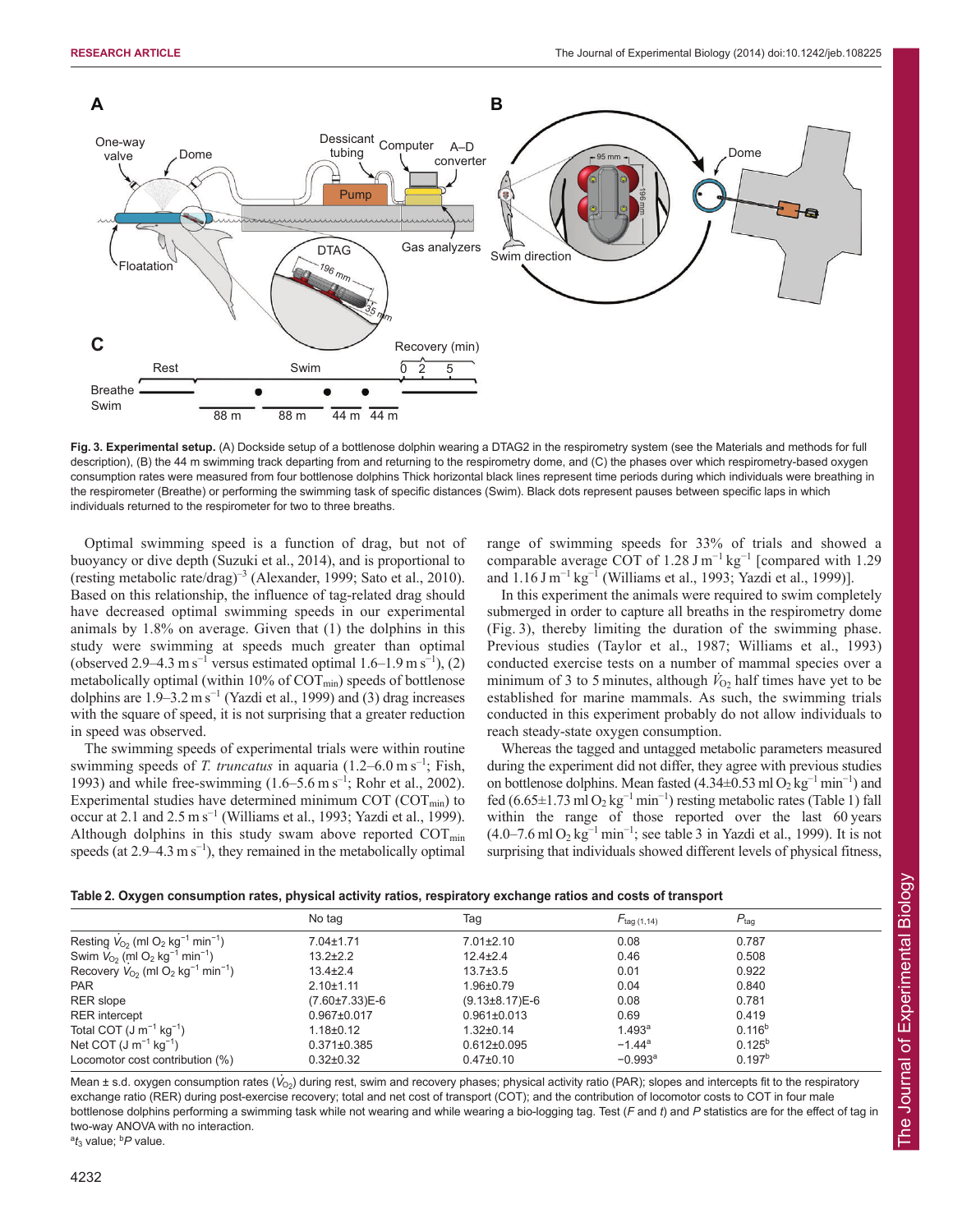

**Fig. 3. Experimental setup.** (A) Dockside setup of a bottlenose dolphin wearing a DTAG2 in the respirometry system (see the Materials and methods for full description), (B) the 44 m swimming track departing from and returning to the respirometry dome, and (C) the phases over which respirometry-based oxygen consumption rates were measured from four bottlenose dolphins Thick horizontal black lines represent time periods during which individuals were breathing in the respirometer (Breathe) or performing the swimming task of specific distances (Swim). Black dots represent pauses between specific laps in which individuals returned to the respirometer for two to three breaths.

Optimal swimming speed is a function of drag, but not of buoyancy or dive depth (Suzuki et al., 2014), and is proportional to (resting metabolic rate/drag)<sup>-3</sup> (Alexander, 1999; Sato et al., 2010). Based on this relationship, the influence of tag-related drag should have decreased optimal swimming speeds in our experimental animals by 1.8% on average. Given that (1) the dolphins in this study were swimming at speeds much greater than optimal (observed 2.9–4.3 m s<sup>-1</sup> versus estimated optimal 1.6–1.9 m s<sup>-1</sup>), (2) metabolically optimal (within  $10\%$  of COT<sub>min</sub>) speeds of bottlenose dolphins are  $1.9-3.2 \text{ m s}^{-1}$  (Yazdi et al., 1999) and (3) drag increases with the square of speed, it is not surprising that a greater reduction in speed was observed.

The swimming speeds of experimental trials were within routine swimming speeds of *T. truncatus* in aquaria  $(1.2-6.0 \text{ m s}^{-1})$ ; Fish, 1993) and while free-swimming  $(1.6–5.6 \text{ m s}^{-1})$ ; Rohr et al., 2002). Experimental studies have determined minimum COT ( $\text{COT}_{\text{min}}$ ) to occur at 2.1 and 2.5 m s<sup>−</sup><sup>1</sup> (Williams et al., 1993; Yazdi et al., 1999). Although dolphins in this study swam above reported  $\text{COT}_{\text{min}}$ speeds (at  $2.9-4.3 \text{ m s}^{-1}$ ), they remained in the metabolically optimal

range of swimming speeds for 33% of trials and showed a comparable average COT of 1.28 J m<sup>-1</sup> kg<sup>-1</sup> [compared with 1.29 and  $1.16 \text{ J m}^{-1} \text{ kg}^{-1}$  (Williams et al., 1993; Yazdi et al., 1999)].

In this experiment the animals were required to swim completely submerged in order to capture all breaths in the respirometry dome (Fig. 3), thereby limiting the duration of the swimming phase. Previous studies (Taylor et al., 1987; Williams et al., 1993) conducted exercise tests on a number of mammal species over a minimum of 3 to 5 minutes, although  $\dot{V}_{02}$  half times have yet to be established for marine mammals. As such, the swimming trials conducted in this experiment probably do not allow individuals to reach steady-state oxygen consumption.

Whereas the tagged and untagged metabolic parameters measured during the experiment did not differ, they agree with previous studies on bottlenose dolphins. Mean fasted  $(4.34 \pm 0.53 \text{ ml O}_2 \text{ kg}^{-1} \text{ min}^{-1})$  and fed (6.65±1.73 ml O<sub>2</sub> kg<sup>-1</sup> min<sup>-1</sup>) resting metabolic rates (Table 1) fall within the range of those reported over the last 60 years  $(4.0-7.6 \text{ ml } O_2 \text{ kg}^{-1} \text{ min}^{-1}$ ; see table 3 in Yazdi et al., 1999). It is not surprising that individuals showed different levels of physical fitness,

| Table 2. Oxygen consumption rates, physical activity ratios, respiratory exchange ratios and costs of transport |  |  |  |  |  |
|-----------------------------------------------------------------------------------------------------------------|--|--|--|--|--|
|-----------------------------------------------------------------------------------------------------------------|--|--|--|--|--|

|                                                                           | No tag               | Tag                    | $F_{\text{tag (1,14)}}$ | $P_{\text{tag}}$   |
|---------------------------------------------------------------------------|----------------------|------------------------|-------------------------|--------------------|
| Resting $V_{O_2}$ (ml O <sub>2</sub> kg <sup>-1</sup> min <sup>-1</sup> ) | 7.04±1.71            | $7.01 \pm 2.10$        | 0.08                    | 0.787              |
| Swim $V_{O2}$ (ml O <sub>2</sub> kg <sup>-1</sup> min <sup>-1</sup> )     | $13.2 \pm 2.2$       | $12.4 \pm 2.4$         | 0.46                    | 0.508              |
| Recovery $V_{O2}$ (ml O <sub>2</sub> kg <sup>-1</sup> min <sup>-1</sup> ) | $13.4 \pm 2.4$       | $13.7 \pm 3.5$         | 0.01                    | 0.922              |
| <b>PAR</b>                                                                | $2.10 + 1.11$        | 1.96±0.79              | 0.04                    | 0.840              |
| <b>RER</b> slope                                                          | $(7.60 \pm 7.33)E-6$ | $(9.13 \pm 8.17)E - 6$ | 0.08                    | 0.781              |
| <b>RER</b> intercept                                                      | $0.967 \pm 0.017$    | $0.961 \pm 0.013$      | 0.69                    | 0.419              |
| Total COT $(J m^{-1} kq^{-1})$                                            | $1.18 \pm 0.12$      | $1.32 \pm 0.14$        | 1.493 <sup>a</sup>      | $0.116^{b}$        |
| Net COT $(J \, m^{-1} \, kq^{-1})$                                        | $0.371 \pm 0.385$    | $0.612\pm0.095$        | $-1.44$ <sup>a</sup>    | $0.125^{b}$        |
| Locomotor cost contribution (%)                                           | $0.32 \pm 0.32$      | $0.47 \pm 0.10$        | $-0.993$ <sup>a</sup>   | 0.197 <sup>b</sup> |

**Mean ± s.d. oxygen consumption rates (** $\dot{V}_{\text{O}_2}$ ) during rest, swim and recovery phases; physical activity ratio (PAR); slopes and intercepts fit to the respiratory exchange ratio (RER) during post-exercise recovery; total and net cost of transport (COT); and the contribution of locomotor costs to COT in four male bottlenose dolphins performing a swimming task while not wearing and while wearing a bio-logging tag. Test (*F* and *t*) and *P* statistics are for the effect of tag in two-way ANOVA with no interaction.

<sup>a</sup> $t_3$  value; <sup>b</sup>P value.

The Journal of Experimental Biology

The Journal of Experimental Biology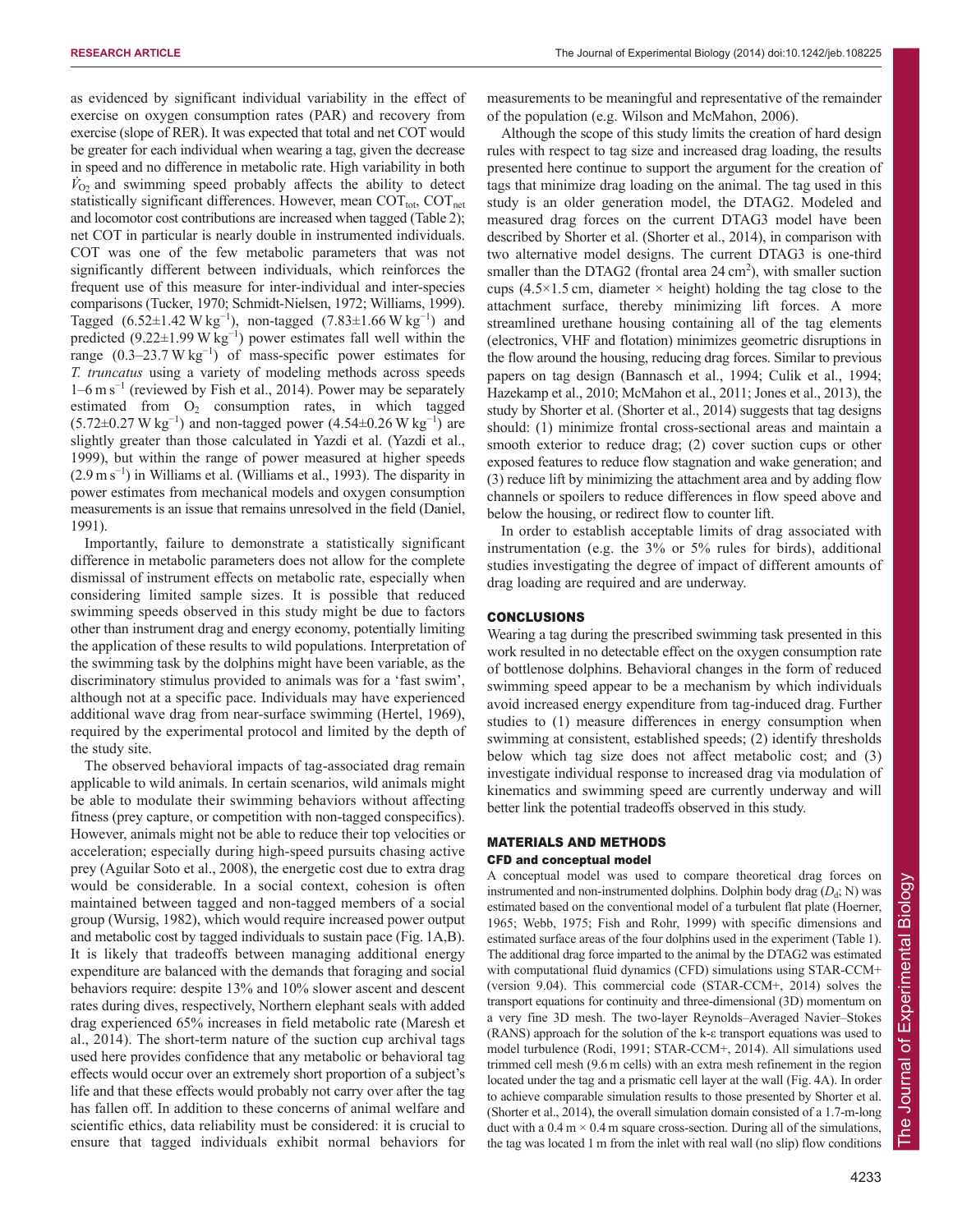as evidenced by significant individual variability in the effect of exercise on oxygen consumption rates (PAR) and recovery from exercise (slope of RER). It was expected that total and net COT would be greater for each individual when wearing a tag, given the decrease in speed and no difference in metabolic rate. High variability in both  $\dot{V}_{O_2}$  and swimming speed probably affects the ability to detect statistically significant differences. However, mean  $\text{COT}_{\text{tot}}$ ,  $\text{COT}_{\text{net}}$ and locomotor cost contributions are increased when tagged (Table 2); net COT in particular is nearly double in instrumented individuals. COT was one of the few metabolic parameters that was not significantly different between individuals, which reinforces the frequent use of this measure for inter-individual and inter-species comparisons (Tucker, 1970; Schmidt-Nielsen, 1972; Williams, 1999). Tagged  $(6.52 \pm 1.42 \text{ W kg}^{-1})$ , non-tagged  $(7.83 \pm 1.66 \text{ W kg}^{-1})$  and predicted  $(9.22 \pm 1.99 \text{ W kg}^{-1})$  power estimates fall well within the range  $(0.3-23.7 \text{ W kg}^{-1})$  of mass-specific power estimates for *T. truncatus* using a variety of modeling methods across speeds 1–6 m s<sup>−</sup><sup>1</sup> (reviewed by Fish et al., 2014). Power may be separately estimated from  $O_2$  consumption rates, in which tagged  $(5.72 \pm 0.27 \,\text{W kg}^{-1})$  and non-tagged power  $(4.54 \pm 0.26 \,\text{W kg}^{-1})$  are slightly greater than those calculated in Yazdi et al. (Yazdi et al., 1999), but within the range of power measured at higher speeds  $(2.9 \text{ m s}^{-1})$  in Williams et al. (Williams et al., 1993). The disparity in power estimates from mechanical models and oxygen consumption measurements is an issue that remains unresolved in the field (Daniel, 1991).

Importantly, failure to demonstrate a statistically significant difference in metabolic parameters does not allow for the complete dismissal of instrument effects on metabolic rate, especially when considering limited sample sizes. It is possible that reduced swimming speeds observed in this study might be due to factors other than instrument drag and energy economy, potentially limiting the application of these results to wild populations. Interpretation of the swimming task by the dolphins might have been variable, as the discriminatory stimulus provided to animals was for a 'fast swim', although not at a specific pace. Individuals may have experienced additional wave drag from near-surface swimming (Hertel, 1969), required by the experimental protocol and limited by the depth of the study site.

The observed behavioral impacts of tag-associated drag remain applicable to wild animals. In certain scenarios, wild animals might be able to modulate their swimming behaviors without affecting fitness (prey capture, or competition with non-tagged conspecifics). However, animals might not be able to reduce their top velocities or acceleration; especially during high-speed pursuits chasing active prey (Aguilar Soto et al., 2008), the energetic cost due to extra drag would be considerable. In a social context, cohesion is often maintained between tagged and non-tagged members of a social group (Wursig, 1982), which would require increased power output and metabolic cost by tagged individuals to sustain pace (Fig. 1A,B). It is likely that tradeoffs between managing additional energy expenditure are balanced with the demands that foraging and social behaviors require: despite 13% and 10% slower ascent and descent rates during dives, respectively, Northern elephant seals with added drag experienced 65% increases in field metabolic rate (Maresh et al., 2014). The short-term nature of the suction cup archival tags used here provides confidence that any metabolic or behavioral tag effects would occur over an extremely short proportion of a subject's life and that these effects would probably not carry over after the tag has fallen off. In addition to these concerns of animal welfare and scientific ethics, data reliability must be considered: it is crucial to ensure that tagged individuals exhibit normal behaviors for measurements to be meaningful and representative of the remainder of the population (e.g. Wilson and McMahon, 2006).

Although the scope of this study limits the creation of hard design rules with respect to tag size and increased drag loading, the results presented here continue to support the argument for the creation of tags that minimize drag loading on the animal. The tag used in this study is an older generation model, the DTAG2. Modeled and measured drag forces on the current DTAG3 model have been described by Shorter et al. (Shorter et al., 2014), in comparison with two alternative model designs. The current DTAG3 is one-third smaller than the DTAG2 (frontal area  $24 \text{ cm}^2$ ), with smaller suction cups (4.5 $\times$ 1.5 cm, diameter  $\times$  height) holding the tag close to the attachment surface, thereby minimizing lift forces. A more streamlined urethane housing containing all of the tag elements (electronics, VHF and flotation) minimizes geometric disruptions in the flow around the housing, reducing drag forces. Similar to previous papers on tag design (Bannasch et al., 1994; Culik et al., 1994; Hazekamp et al., 2010; McMahon et al., 2011; Jones et al., 2013), the study by Shorter et al. (Shorter et al., 2014) suggests that tag designs should: (1) minimize frontal cross-sectional areas and maintain a smooth exterior to reduce drag; (2) cover suction cups or other exposed features to reduce flow stagnation and wake generation; and (3) reduce lift by minimizing the attachment area and by adding flow channels or spoilers to reduce differences in flow speed above and below the housing, or redirect flow to counter lift.

In order to establish acceptable limits of drag associated with instrumentation (e.g. the 3% or 5% rules for birds), additional studies investigating the degree of impact of different amounts of drag loading are required and are underway.

## **CONCLUSIONS**

Wearing a tag during the prescribed swimming task presented in this work resulted in no detectable effect on the oxygen consumption rate of bottlenose dolphins. Behavioral changes in the form of reduced swimming speed appear to be a mechanism by which individuals avoid increased energy expenditure from tag-induced drag. Further studies to (1) measure differences in energy consumption when swimming at consistent, established speeds; (2) identify thresholds below which tag size does not affect metabolic cost; and (3) investigate individual response to increased drag via modulation of kinematics and swimming speed are currently underway and will better link the potential tradeoffs observed in this study.

# MATERIALS AND METHODS CFD and conceptual model

A conceptual model was used to compare theoretical drag forces on instrumented and non-instrumented dolphins. Dolphin body drag  $(D_d; N)$  was estimated based on the conventional model of a turbulent flat plate (Hoerner, 1965; Webb, 1975; Fish and Rohr, 1999) with specific dimensions and estimated surface areas of the four dolphins used in the experiment (Table 1). The additional drag force imparted to the animal by the DTAG2 was estimated with computational fluid dynamics (CFD) simulations using STAR-CCM+ (version 9.04). This commercial code (STAR-CCM+, 2014) solves the transport equations for continuity and three-dimensional (3D) momentum on a very fine 3D mesh. The two-layer Reynolds–Averaged Navier–Stokes (RANS) approach for the solution of the k-ε transport equations was used to model turbulence (Rodi, 1991; STAR-CCM+, 2014). All simulations used trimmed cell mesh (9.6 m cells) with an extra mesh refinement in the region located under the tag and a prismatic cell layer at the wall (Fig. 4A). In order to achieve comparable simulation results to those presented by Shorter et al. (Shorter et al., 2014), the overall simulation domain consisted of a 1.7-m-long duct with a  $0.4 \text{ m} \times 0.4 \text{ m}$  square cross-section. During all of the simulations, the tag was located 1 m from the inlet with real wall (no slip) flow conditions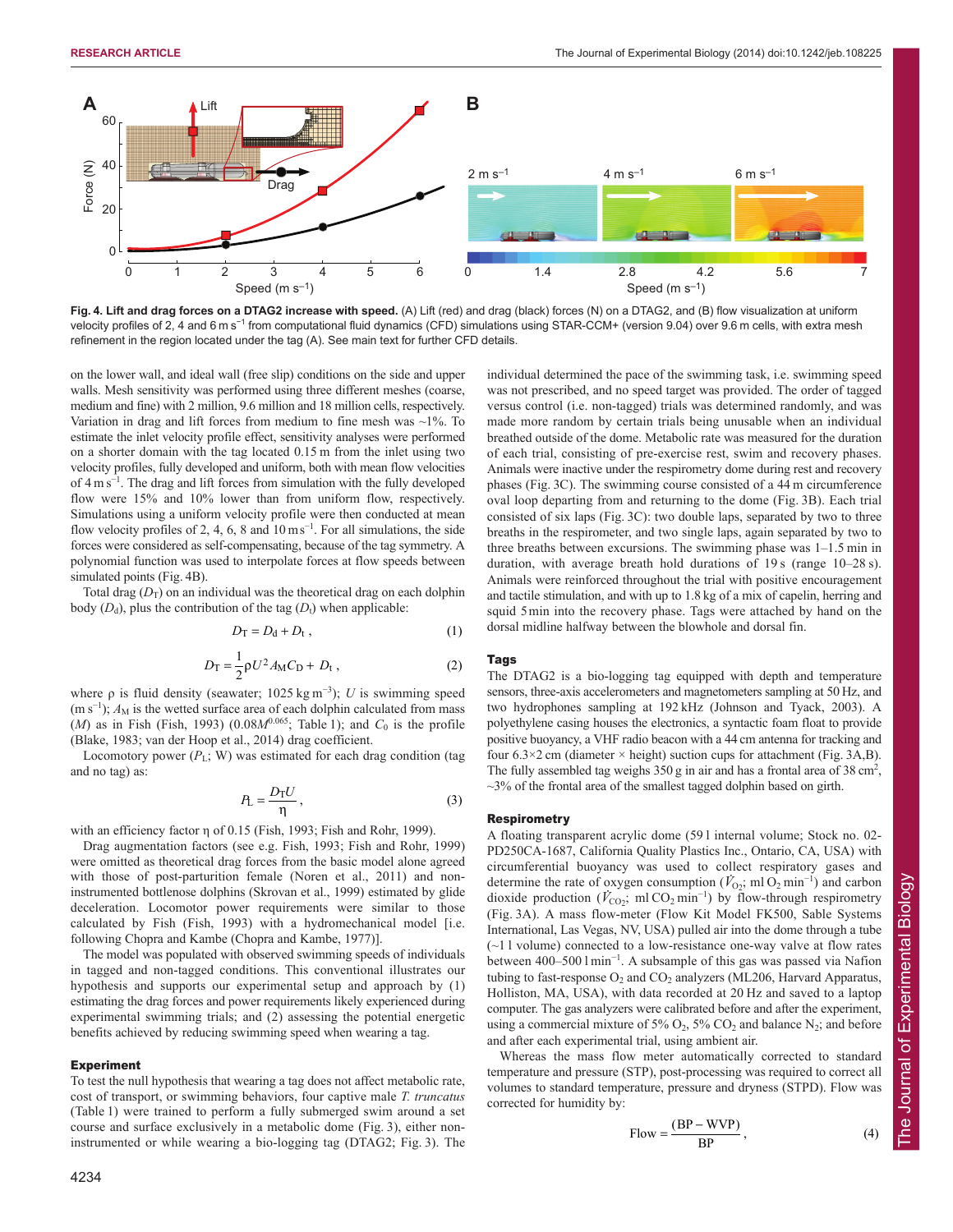

**Fig. 4. Lift and drag forces on a DTAG2 increase with speed.** (A) Lift (red) and drag (black) forces (N) on a DTAG2, and (B) flow visualization at uniform velocity profiles of 2, 4 and 6 m s<sup>-1</sup> from computational fluid dynamics (CFD) simulations using STAR-CCM+ (version 9.04) over 9.6 m cells, with extra mesh refinement in the region located under the tag (A). See main text for further CFD details.

on the lower wall, and ideal wall (free slip) conditions on the side and upper walls. Mesh sensitivity was performed using three different meshes (coarse, medium and fine) with 2 million, 9.6 million and 18 million cells, respectively. Variation in drag and lift forces from medium to fine mesh was  $\sim$ 1%. To estimate the inlet velocity profile effect, sensitivity analyses were performed on a shorter domain with the tag located 0.15 m from the inlet using two velocity profiles, fully developed and uniform, both with mean flow velocities of  $4 \text{ m s}^{-1}$ . The drag and lift forces from simulation with the fully developed flow were 15% and 10% lower than from uniform flow, respectively. Simulations using a uniform velocity profile were then conducted at mean flow velocity profiles of 2, 4, 6, 8 and  $10 \text{ ms}^{-1}$ . For all simulations, the side forces were considered as self-compensating, because of the tag symmetry. A polynomial function was used to interpolate forces at flow speeds between simulated points (Fig. 4B).

Total drag  $(D_T)$  on an individual was the theoretical drag on each dolphin body  $(D_d)$ , plus the contribution of the tag  $(D_t)$  when applicable:

$$
D_{\rm T} = D_{\rm d} + D_{\rm t} \,, \tag{1}
$$

$$
D_{\rm T} = \frac{1}{2} \rho U^2 A_{\rm M} C_{\rm D} + D_{\rm t} \,, \tag{2}
$$

where  $\rho$  is fluid density (seawater; 1025 kg m<sup>-3</sup>); *U* is swimming speed (m s<sup>-1</sup>);  $A_M$  is the wetted surface area of each dolphin calculated from mass  $(M)$  as in Fish (Fish, 1993) (0.08 $M^{0.065}$ ; Table 1); and  $C_0$  is the profile (Blake, 1983; van der Hoop et al., 2014) drag coefficient.

Locomotory power  $(P_L; W)$  was estimated for each drag condition (tag and no tag) as:

$$
P_{\rm L} = \frac{D_{\rm T} U}{\eta},\tag{3}
$$

with an efficiency factor η of 0.15 (Fish, 1993; Fish and Rohr, 1999).

Drag augmentation factors (see e.g. Fish, 1993; Fish and Rohr, 1999) were omitted as theoretical drag forces from the basic model alone agreed with those of post-parturition female (Noren et al., 2011) and noninstrumented bottlenose dolphins (Skrovan et al., 1999) estimated by glide deceleration. Locomotor power requirements were similar to those calculated by Fish (Fish, 1993) with a hydromechanical model [i.e. following Chopra and Kambe (Chopra and Kambe, 1977)].

The model was populated with observed swimming speeds of individuals in tagged and non-tagged conditions. This conventional illustrates our hypothesis and supports our experimental setup and approach by (1) estimating the drag forces and power requirements likely experienced during experimental swimming trials; and (2) assessing the potential energetic benefits achieved by reducing swimming speed when wearing a tag.

## Experiment

To test the null hypothesis that wearing a tag does not affect metabolic rate, cost of transport, or swimming behaviors, four captive male *T. truncatus* (Table 1) were trained to perform a fully submerged swim around a set course and surface exclusively in a metabolic dome (Fig. 3), either noninstrumented or while wearing a bio-logging tag (DTAG2; Fig. 3). The individual determined the pace of the swimming task, i.e. swimming speed was not prescribed, and no speed target was provided. The order of tagged versus control (i.e. non-tagged) trials was determined randomly, and was made more random by certain trials being unusable when an individual breathed outside of the dome. Metabolic rate was measured for the duration of each trial, consisting of pre-exercise rest, swim and recovery phases. Animals were inactive under the respirometry dome during rest and recovery phases (Fig. 3C). The swimming course consisted of a 44 m circumference oval loop departing from and returning to the dome (Fig. 3B). Each trial consisted of six laps (Fig. 3C): two double laps, separated by two to three breaths in the respirometer, and two single laps, again separated by two to three breaths between excursions. The swimming phase was 1–1.5 min in duration, with average breath hold durations of 19 s (range 10–28 s). Animals were reinforced throughout the trial with positive encouragement and tactile stimulation, and with up to 1.8 kg of a mix of capelin, herring and squid 5min into the recovery phase. Tags were attached by hand on the dorsal midline halfway between the blowhole and dorsal fin.

## Tags

The DTAG2 is a bio-logging tag equipped with depth and temperature sensors, three-axis accelerometers and magnetometers sampling at 50 Hz, and two hydrophones sampling at 192 kHz (Johnson and Tyack, 2003). A polyethylene casing houses the electronics, a syntactic foam float to provide positive buoyancy, a VHF radio beacon with a 44 cm antenna for tracking and four  $6.3 \times 2$  cm (diameter  $\times$  height) suction cups for attachment (Fig. 3A,B). The fully assembled tag weighs  $350$  g in air and has a frontal area of  $38 \text{ cm}^2$ ,  $\sim$ 3% of the frontal area of the smallest tagged dolphin based on girth.

#### Respirometry

A floating transparent acrylic dome (59 l internal volume; Stock no. 02- PD250CA-1687, California Quality Plastics Inc., Ontario, CA, USA) with circumferential buoyancy was used to collect respiratory gases and determine the rate of oxygen consumption  $(V_{O_2}; \text{ml } O_2 \text{ min}^{-1})$  and carbon dioxide production ( $V_{\text{CO}_2}$ ; ml CO<sub>2</sub> min<sup>-1</sup>) by flow-through respirometry (Fig. 3A). A mass flow-meter (Flow Kit Model FK500, Sable Systems International, Las Vegas, NV, USA) pulled air into the dome through a tube (~1 l volume) connected to a low-resistance one-way valve at flow rates between 400–500 l min<sup>−</sup><sup>1</sup> . A subsample of this gas was passed via Nafion tubing to fast-response  $O_2$  and  $CO_2$  analyzers (ML206, Harvard Apparatus, Holliston, MA, USA), with data recorded at 20 Hz and saved to a laptop computer. The gas analyzers were calibrated before and after the experiment, using a commercial mixture of 5%  $O_2$ , 5%  $CO_2$  and balance N<sub>2</sub>; and before and after each experimental trial, using ambient air.

Whereas the mass flow meter automatically corrected to standard temperature and pressure (STP), post-processing was required to correct all volumes to standard temperature, pressure and dryness (STPD). Flow was corrected for humidity by:

$$
Flow = \frac{(BP - WVP)}{BP},
$$
 (4)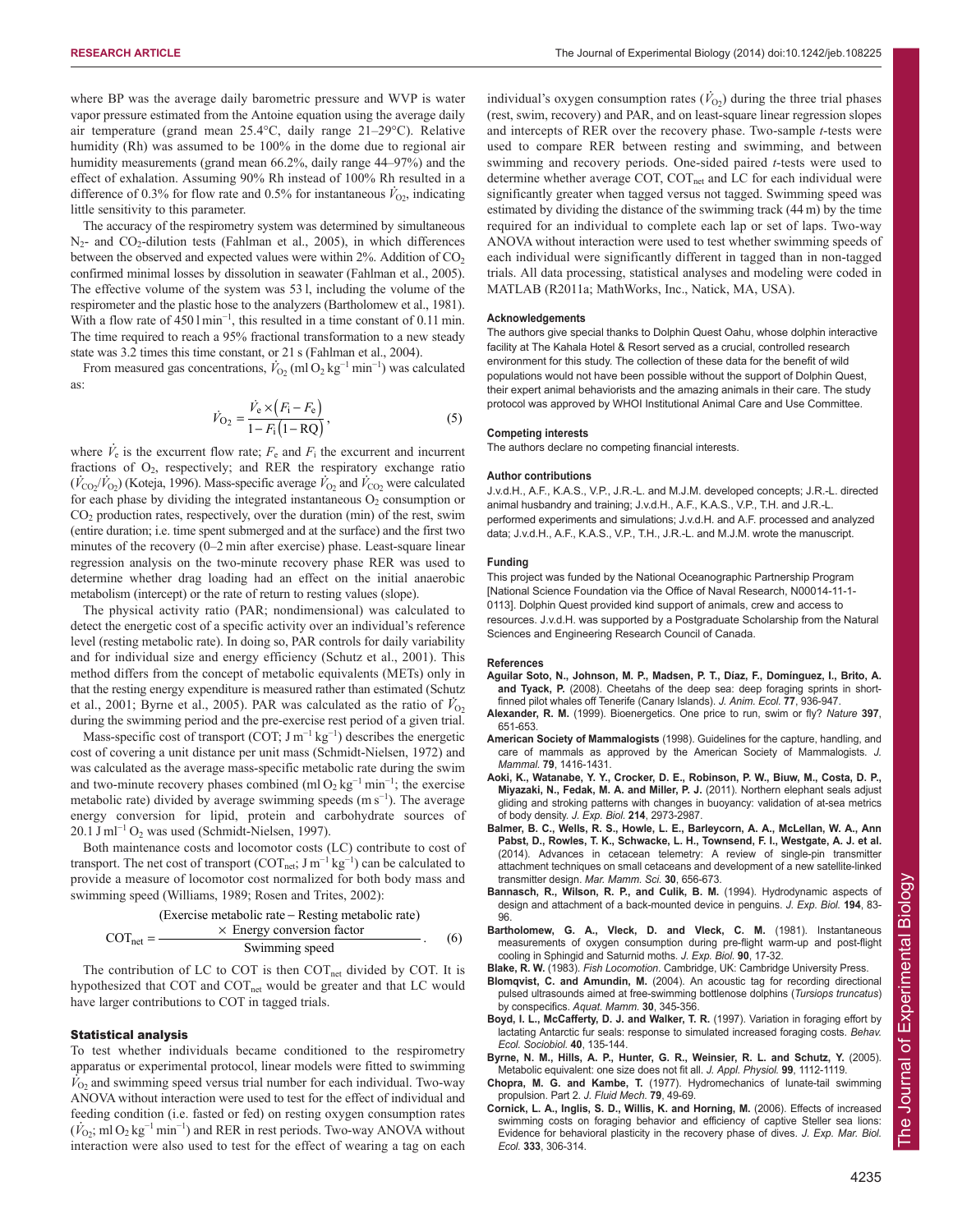where BP was the average daily barometric pressure and WVP is water vapor pressure estimated from the Antoine equation using the average daily air temperature (grand mean 25.4°C, daily range 21–29°C). Relative humidity (Rh) was assumed to be 100% in the dome due to regional air humidity measurements (grand mean 66.2%, daily range 44–97%) and the effect of exhalation. Assuming 90% Rh instead of 100% Rh resulted in a difference of 0.3% for flow rate and 0.5% for instantaneous  $\dot{V}_{02}$ , indicating little sensitivity to this parameter.

The accuracy of the respirometry system was determined by simultaneous  $N_2$ - and  $CO_2$ -dilution tests (Fahlman et al., 2005), in which differences between the observed and expected values were within  $2\%$ . Addition of  $CO<sub>2</sub>$ confirmed minimal losses by dissolution in seawater (Fahlman et al., 2005). The effective volume of the system was 53 l, including the volume of the respirometer and the plastic hose to the analyzers (Bartholomew et al., 1981). With a flow rate of 450 l min<sup>-1</sup>, this resulted in a time constant of 0.11 min. The time required to reach a 95% fractional transformation to a new steady state was 3.2 times this time constant, or 21 s (Fahlman et al., 2004).

From measured gas concentrations,  $\dot{V}_{\text{O}_2}$  (ml O<sub>2</sub> kg<sup>-1</sup> min<sup>-1</sup>) was calculated as:

$$
\dot{V}_{\text{O}_2} = \frac{\dot{V}_e \times (F_i - F_e)}{1 - F_i (1 - \text{RQ})},\tag{5}
$$

where  $\dot{V}_e$  is the excurrent flow rate;  $F_e$  and  $F_i$  the excurrent and incurrent fractions of O2, respectively; and RER the respiratory exchange ratio ractions of  $\sigma_2$ , respectively, and *KER* the respiratory exeminge ratio  $(\dot{V}_{CO_2}/\dot{V}_{O_2})$  (Koteja, 1996). Mass-specific average  $\dot{V}_{O_2}$  and  $\dot{V}_{CO_2}$  were calculated for each phase by dividing the integrated instantaneous  $O_2$  consumption or  $CO<sub>2</sub>$  production rates, respectively, over the duration (min) of the rest, swim (entire duration; i.e. time spent submerged and at the surface) and the first two minutes of the recovery (0–2 min after exercise) phase. Least-square linear regression analysis on the two-minute recovery phase RER was used to determine whether drag loading had an effect on the initial anaerobic metabolism (intercept) or the rate of return to resting values (slope).

The physical activity ratio (PAR; nondimensional) was calculated to detect the energetic cost of a specific activity over an individual's reference level (resting metabolic rate). In doing so, PAR controls for daily variability and for individual size and energy efficiency (Schutz et al., 2001). This method differs from the concept of metabolic equivalents (METs) only in that the resting energy expenditure is measured rather than estimated (Schutz et al., 2001; Byrne et al., 2005). PAR was calculated as the ratio of  $\dot{V}_{02}$ during the swimming period and the pre-exercise rest period of a given trial.

Mass-specific cost of transport (COT;  $J m^{-1} kg^{-1}$ ) describes the energetic cost of covering a unit distance per unit mass (Schmidt-Nielsen, 1972) and was calculated as the average mass-specific metabolic rate during the swim and two-minute recovery phases combined (ml  $O_2$  kg<sup>-1</sup> min<sup>-1</sup>; the exercise metabolic rate) divided by average swimming speeds (m s<sup>-1</sup>). The average energy conversion for lipid, protein and carbohydrate sources of 20.1 J ml<sup>-1</sup> O<sub>2</sub> was used (Schmidt-Nielsen, 1997).

Both maintenance costs and locomotor costs (LC) contribute to cost of transport. The net cost of transport ( $\text{COT}_{\text{net}}$ ; J m<sup>-1</sup> kg<sup>-1</sup>) can be calculated to provide a measure of locomotor cost normalized for both body mass and swimming speed (Williams, 1989; Rosen and Trites, 2002):

(Exercise metabolic rate – Resting metabolic rate)  
\n
$$
COT_{net} = \frac{\times \text{ Energy conversion factor}}{\text{Swinning speed}}.
$$
 (6)

The contribution of LC to COT is then COT<sub>net</sub> divided by COT. It is hypothesized that COT and COT<sub>net</sub> would be greater and that LC would have larger contributions to COT in tagged trials.

#### Statistical analysis

To test whether individuals became conditioned to the respirometry apparatus or experimental protocol, linear models were fitted to swimming  $V_{O_2}$  and swimming speed versus trial number for each individual. Two-way ANOVA without interaction were used to test for the effect of individual and feeding condition (i.e. fasted or fed) on resting oxygen consumption rates  $(\dot{V}_{02}; \text{m10}_2 \text{kg}^{-1} \text{min}^{-1})$  and RER in rest periods. Two-way ANOVA without interaction were also used to test for the effect of wearing a tag on each

individual's oxygen consumption rates  $(\dot{V}_{02})$  during the three trial phases (rest, swim, recovery) and PAR, and on least-square linear regression slopes and intercepts of RER over the recovery phase. Two-sample *t*-tests were used to compare RER between resting and swimming, and between swimming and recovery periods. One-sided paired *t*-tests were used to determine whether average COT, COT<sub>net</sub> and LC for each individual were significantly greater when tagged versus not tagged. Swimming speed was estimated by dividing the distance of the swimming track (44 m) by the time required for an individual to complete each lap or set of laps. Two-way ANOVA without interaction were used to test whether swimming speeds of each individual were significantly different in tagged than in non-tagged trials. All data processing, statistical analyses and modeling were coded in MATLAB (R2011a; MathWorks, Inc., Natick, MA, USA).

#### **Acknowledgements**

The authors give special thanks to Dolphin Quest Oahu, whose dolphin interactive facility at The Kahala Hotel & Resort served as a crucial, controlled research environment for this study. The collection of these data for the benefit of wild populations would not have been possible without the support of Dolphin Quest, their expert animal behaviorists and the amazing animals in their care. The study protocol was approved by WHOI Institutional Animal Care and Use Committee.

#### **Competing interests**

The authors declare no competing financial interests.

#### **Author contributions**

J.v.d.H., A.F., K.A.S., V.P., J.R.-L. and M.J.M. developed concepts; J.R.-L. directed animal husbandry and training; J.v.d.H., A.F., K.A.S., V.P., T.H. and J.R.-L. performed experiments and simulations; J.v.d.H. and A.F. processed and analyzed data; J.v.d.H., A.F., K.A.S., V.P., T.H., J.R.-L. and M.J.M. wrote the manuscript.

#### **Funding**

This project was funded by the National Oceanographic Partnership Program [National Science Foundation via the Office of Naval Research, N00014-11-1- 0113]. Dolphin Quest provided kind support of animals, crew and access to resources. J.v.d.H. was supported by a Postgraduate Scholarship from the Natural Sciences and Engineering Research Council of Canada.

#### **References**

- **Aguilar Soto, N., Johnson, M. P., Madsen, P. T., Díaz, F., Domínguez, I., Brito, A. and Tyack, P.** (2008). Cheetahs of the deep sea: deep foraging sprints in shortfinned pilot whales off Tenerife (Canary Islands). *J. Anim. Ecol.* **77**, 936-947.
- **Alexander, R. M.** (1999). Bioenergetics. One price to run, swim or fly? *Nature* **397**, 651-653.
- **American Society of Mammalogists** (1998). Guidelines for the capture, handling, and care of mammals as approved by the American Society of Mammalogists. *J. Mammal.* **79**, 1416-1431.
- **Aoki, K., Watanabe, Y. Y., Crocker, D. E., Robinson, P. W., Biuw, M., Costa, D. P., Miyazaki, N., Fedak, M. A. and Miller, P. J.** (2011). Northern elephant seals adjust gliding and stroking patterns with changes in buoyancy: validation of at-sea metrics of body density. *J. Exp. Biol.* **214**, 2973-2987.
- **Balmer, B. C., Wells, R. S., Howle, L. E., Barleycorn, A. A., McLellan, W. A., Ann Pabst, D., Rowles, T. K., Schwacke, L. H., Townsend, F. I., Westgate, A. J. et al.** (2014). Advances in cetacean telemetry: A review of single-pin transmitter attachment techniques on small cetaceans and development of a new satellite-linked transmitter design. *Mar. Mamm. Sci.* **30**, 656-673.
- **Bannasch, R., Wilson, R. P., and Culik, B. M.** (1994). Hydrodynamic aspects of design and attachment of a back-mounted device in penguins. *J. Exp. Biol.* **194**, 83- 96.
- **Bartholomew, G. A., Vleck, D. and Vleck, C. M.** (1981). Instantaneous measurements of oxygen consumption during pre-flight warm-up and post-flight cooling in Sphingid and Saturnid moths. *J. Exp. Biol.* **90**, 17-32.
- **Blake, R. W.** (1983). *Fish Locomotion*. Cambridge, UK: Cambridge University Press. **Blomqvist, C. and Amundin, M.** (2004). An acoustic tag for recording directional pulsed ultrasounds aimed at free-swimming bottlenose dolphins (*Tursiops truncatus*) by conspecifics. *Aquat. Mamm.* **30**, 345-356.
- **Boyd, I. L., McCafferty, D. J. and Walker, T. R.** (1997). Variation in foraging effort by lactating Antarctic fur seals: response to simulated increased foraging costs. *Behav. Ecol. Sociobiol.* **40**, 135-144.
- **Byrne, N. M., Hills, A. P., Hunter, G. R., Weinsier, R. L. and Schutz, Y.** (2005). Metabolic equivalent: one size does not fit all. *J. Appl. Physiol.* **99**, 1112-1119.
- **Chopra, M. G. and Kambe, T.** (1977). Hydromechanics of lunate-tail swimming propulsion. Part 2. *J. Fluid Mech.* **79**, 49-69.
- **Cornick, L. A., Inglis, S. D., Willis, K. and Horning, M.** (2006). Effects of increased swimming costs on foraging behavior and efficiency of captive Steller sea lions: Evidence for behavioral plasticity in the recovery phase of dives. *J. Exp. Mar. Biol. Ecol.* **333**, 306-314.